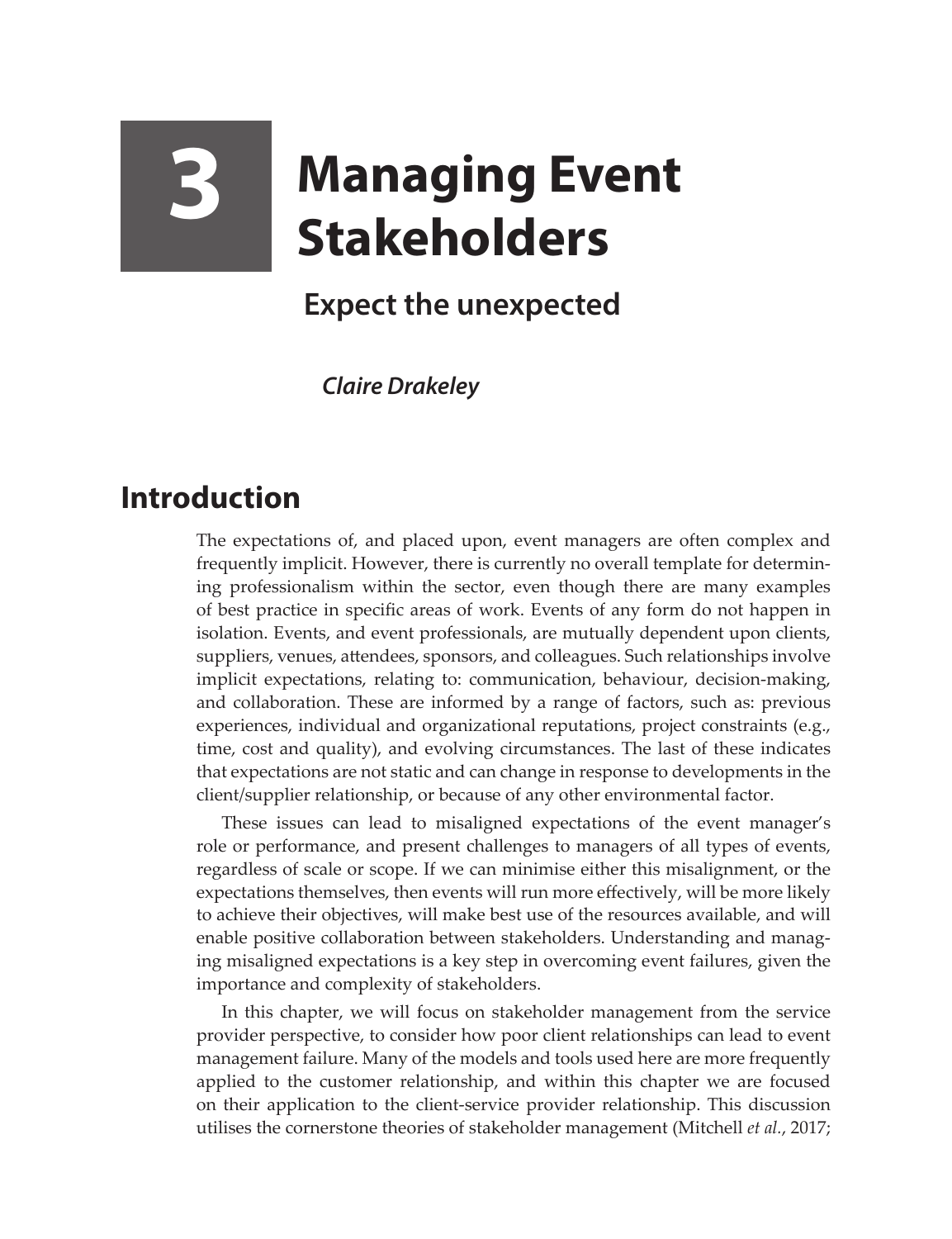# **3 Managing Event Stakeholders**

## **Expect the unexpected**

*Claire Drakeley* 

### **Introduction**

The expectations of, and placed upon, event managers are often complex and frequently implicit. However, there is currently no overall template for determining professionalism within the sector, even though there are many examples of best practice in specific areas of work. Events of any form do not happen in isolation. Events, and event professionals, are mutually dependent upon clients, suppliers, venues, attendees, sponsors, and colleagues. Such relationships involve implicit expectations, relating to: communication, behaviour, decision-making, and collaboration. These are informed by a range of factors, such as: previous experiences, individual and organizational reputations, project constraints (e.g., time, cost and quality), and evolving circumstances. The last of these indicates that expectations are not static and can change in response to developments in the client/supplier relationship, or because of any other environmental factor.

These issues can lead to misaligned expectations of the event manager's role or performance, and present challenges to managers of all types of events, regardless of scale or scope. If we can minimise either this misalignment, or the expectations themselves, then events will run more effectively, will be more likely to achieve their objectives, will make best use of the resources available, and will enable positive collaboration between stakeholders. Understanding and managing misaligned expectations is a key step in overcoming event failures, given the importance and complexity of stakeholders.

In this chapter, we will focus on stakeholder management from the service provider perspective, to consider how poor client relationships can lead to event management failure. Many of the models and tools used here are more frequently applied to the customer relationship, and within this chapter we are focused on their application to the client-service provider relationship. This discussion utilises the cornerstone theories of stakeholder management (Mitchell *et al.*, 2017;